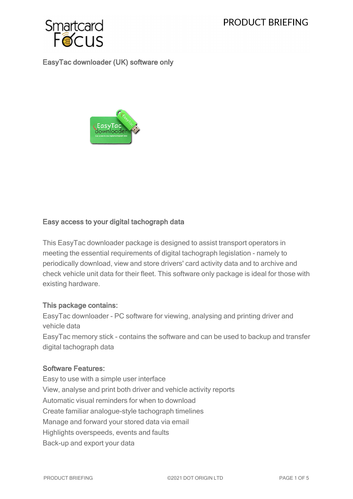

EasyTac downloader (UK) software only



## Easy access to your digital tachograph data

This EasyTac downloader package is designed to assist transport operators in meeting the essential requirements of digital tachograph legislation - namely to periodically download, view and store drivers' card activity data and to archive and check vehicle unit data for their fleet. This software only package is ideal for those with existing hardware.

## This package contains:

EasyTac downloader - PC software for viewing, analysing and printing driver and vehicle data EasyTac memory stick - contains the software and can be used to backup and transfer digital tachograph data

## Software Features:

Easy to use with a simple user interface View, analyse and print both driver and vehicle activity reports Automatic visual reminders for when to download Create familiar analogue-style tachograph timelines Manage and forward your stored data via email Highlights overspeeds, events and faults Back-up and export your data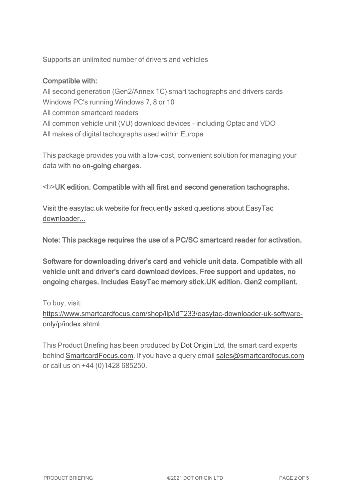Supports an unlimited number of drivers and vehicles

## Compatible with:

All second generation (Gen2/Annex 1C) smart tachographs and drivers cards Windows PC's running Windows 7, 8 or 10 All common smartcard readers All common vehicle unit (VU) download devices - including Optac and VDO All makes of digital tachographs used within Europe

This package provides you with a low-cost, convenient solution for managing your data with no on-going charges.

<b>UK edition. Compatible with all first and second generation tachographs.

Visit the [easytac.uk](https://www.easytac.uk/faq/) website for frequently asked questions about EasyTac [downloader...](https://www.easytac.uk/faq/)

Note: This package requires the use of a PC/SC smartcard reader for activation.

Software for downloading driver's card and vehicle unit data. Compatible with all vehicle unit and driver's card download devices. Free support and updates, no ongoing charges. Includes EasyTac memory stick.UK edition. Gen2 compliant.

To buy, visit:

[https://www.smartcardfocus.com/shop/ilp/id~233/easytac-downloader-uk-software](https://www.smartcardfocus.com/shop/ilp/id~233/easytac-downloader-uk-software-only/p/index.shtml?utm_source=download&utm_medium=pdf&utm_campaign=scf-product-pdf)[only/p/index.shtml](https://www.smartcardfocus.com/shop/ilp/id~233/easytac-downloader-uk-software-only/p/index.shtml?utm_source=download&utm_medium=pdf&utm_campaign=scf-product-pdf)

This Product Briefing has been produced by Dot [Origin](https://www.dotorigin.com/) Ltd, the smart card experts behind [SmartcardFocus.com.](https://www.smartcardfocus.com/?utm_source=download&utm_medium=pdf&utm_campaign=scf-product-pdf) If you have a query email [sales@smartcardfocus.com](mailto:sales@smartcardfocus.com?subject=Product Briefing query) or call us on +44 (0)1428 685250.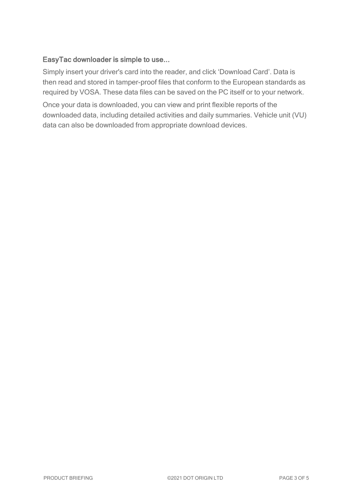# EasyTac downloader is simple to use...

Simply insert your driver's card into the reader, and click 'Download Card'. Data is then read and stored in tamper-proof files that conform to the European standards as required by VOSA. These data files can be saved on the PC itself or to your network.

Once your data is downloaded, you can view and print flexible reports of the downloaded data, including detailed activities and daily summaries. Vehicle unit (VU) data can also be downloaded from appropriate download devices.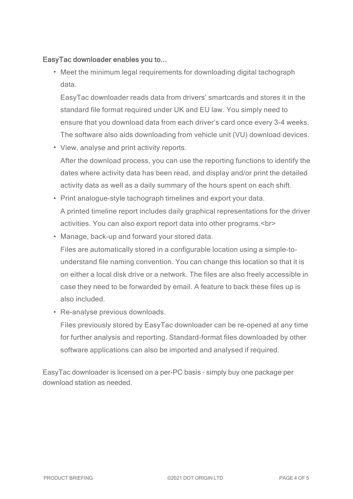## EasyTac downloader enables you to...

• Meet the minimum legal requirements for downloading digital tachograph data.

EasyTac downloader reads data from drivers' smartcards and stores it in the standard file format required under UK and EU law. You simply need to ensure that you download data from each driver's card once every 3-4 weeks. The software also aids downloading from vehicle unit (VU) download devices.

- View, analyse and print activity reports. After the download process, you can use the reporting functions to identify the dates where activity data has been read, and display and/or print the detailed activity data as well as a daily summary of the hours spent on each shift.
- Print analogue-style tachograph timelines and export your data. A printed timeline report includes daily graphical representations for the driver activities. You can also export report data into other programs.<br>
- Manage, back-up and forward your stored data. Files are automatically stored in a configurable location using a simple-tounderstand file naming convention. You can change this location so that it is on either a local disk drive or a network. The files are also freely accessible in case they need to be forwarded by email. A feature to back these files up is also included.
- Re-analyse previous downloads.

Files previously stored by EasyTac downloader can be re-opened at any time for further analysis and reporting. Standard-format files downloaded by other software applications can also be imported and analysed if required.

EasyTac downloader is licensed on a per-PC basis – simply buy one package per download station as needed.